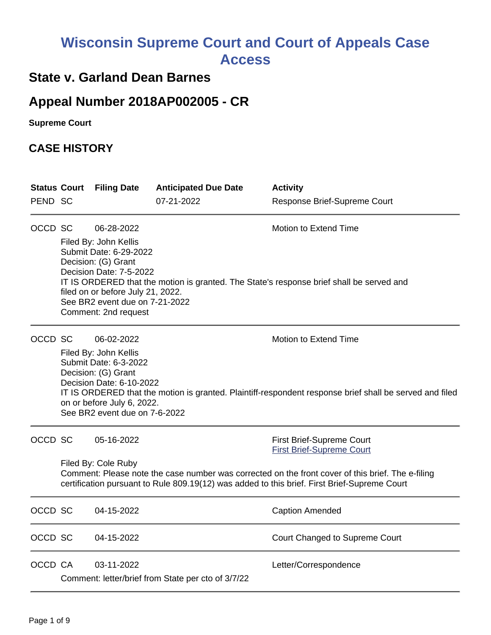# **Wisconsin Supreme Court and Court of Appeals Case Access**

## **State v. Garland Dean Barnes**

## **Appeal Number 2018AP002005 - CR**

**Supreme Court** 

## **CASE HISTORY**

| <b>Status Court</b> |                                                                                                                                                                                                                          | <b>Filing Date</b>                                                                                                                                                                               | <b>Anticipated Due Date</b>                        | <b>Activity</b>                                                                                         |
|---------------------|--------------------------------------------------------------------------------------------------------------------------------------------------------------------------------------------------------------------------|--------------------------------------------------------------------------------------------------------------------------------------------------------------------------------------------------|----------------------------------------------------|---------------------------------------------------------------------------------------------------------|
| PEND SC             |                                                                                                                                                                                                                          |                                                                                                                                                                                                  | 07-21-2022                                         | Response Brief-Supreme Court                                                                            |
| OCCD SC             |                                                                                                                                                                                                                          | 06-28-2022                                                                                                                                                                                       |                                                    | Motion to Extend Time                                                                                   |
|                     |                                                                                                                                                                                                                          | Filed By: John Kellis<br>Submit Date: 6-29-2022<br>Decision: (G) Grant<br>Decision Date: 7-5-2022<br>filed on or before July 21, 2022.<br>See BR2 event due on 7-21-2022<br>Comment: 2nd request |                                                    | IT IS ORDERED that the motion is granted. The State's response brief shall be served and                |
| OCCD SC             |                                                                                                                                                                                                                          | 06-02-2022                                                                                                                                                                                       |                                                    | Motion to Extend Time                                                                                   |
|                     |                                                                                                                                                                                                                          | Filed By: John Kellis<br>Submit Date: 6-3-2022<br>Decision: (G) Grant<br>Decision Date: 6-10-2022<br>on or before July 6, 2022.<br>See BR2 event due on 7-6-2022                                 |                                                    | IT IS ORDERED that the motion is granted. Plaintiff-respondent response brief shall be served and filed |
| OCCD SC             |                                                                                                                                                                                                                          | 05-16-2022                                                                                                                                                                                       |                                                    | First Brief-Supreme Court<br><b>First Brief-Supreme Court</b>                                           |
|                     | Filed By: Cole Ruby<br>Comment: Please note the case number was corrected on the front cover of this brief. The e-filing<br>certification pursuant to Rule 809.19(12) was added to this brief. First Brief-Supreme Court |                                                                                                                                                                                                  |                                                    |                                                                                                         |
| OCCD SC             |                                                                                                                                                                                                                          | 04-15-2022                                                                                                                                                                                       |                                                    | <b>Caption Amended</b>                                                                                  |
| OCCD SC             |                                                                                                                                                                                                                          | 04-15-2022                                                                                                                                                                                       |                                                    | Court Changed to Supreme Court                                                                          |
| OCCD CA             |                                                                                                                                                                                                                          | 03-11-2022                                                                                                                                                                                       | Comment: letter/brief from State per cto of 3/7/22 | Letter/Correspondence                                                                                   |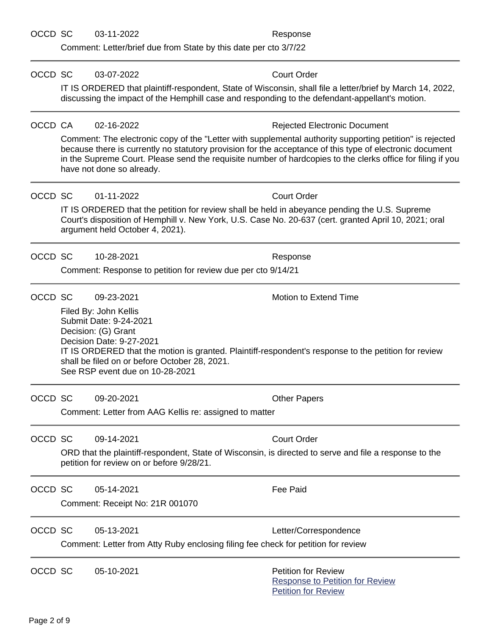Comment: Letter/brief due from State by this date per cto 3/7/22

OCCD SC 03-07-2022 Court Order

|         |                                                                                                                                                                                                                                                                                                                                                                  | IT IS ORDERED that plaintiff-respondent, State of Wisconsin, shall file a letter/brief by March 14, 2022,<br>discussing the impact of the Hemphill case and responding to the defendant-appellant's motion. |  |  |  |
|---------|------------------------------------------------------------------------------------------------------------------------------------------------------------------------------------------------------------------------------------------------------------------------------------------------------------------------------------------------------------------|-------------------------------------------------------------------------------------------------------------------------------------------------------------------------------------------------------------|--|--|--|
| OCCD CA | 02-16-2022                                                                                                                                                                                                                                                                                                                                                       | <b>Rejected Electronic Document</b>                                                                                                                                                                         |  |  |  |
|         | Comment: The electronic copy of the "Letter with supplemental authority supporting petition" is rejected<br>because there is currently no statutory provision for the acceptance of this type of electronic document<br>in the Supreme Court. Please send the requisite number of hardcopies to the clerks office for filing if you<br>have not done so already. |                                                                                                                                                                                                             |  |  |  |
| OCCD SC | 01-11-2022                                                                                                                                                                                                                                                                                                                                                       | <b>Court Order</b>                                                                                                                                                                                          |  |  |  |
|         | IT IS ORDERED that the petition for review shall be held in abeyance pending the U.S. Supreme<br>Court's disposition of Hemphill v. New York, U.S. Case No. 20-637 (cert. granted April 10, 2021; oral<br>argument held October 4, 2021).                                                                                                                        |                                                                                                                                                                                                             |  |  |  |
| OCCD SC | 10-28-2021                                                                                                                                                                                                                                                                                                                                                       | Response                                                                                                                                                                                                    |  |  |  |
|         |                                                                                                                                                                                                                                                                                                                                                                  | Comment: Response to petition for review due per cto 9/14/21                                                                                                                                                |  |  |  |
| OCCD SC | 09-23-2021                                                                                                                                                                                                                                                                                                                                                       | Motion to Extend Time                                                                                                                                                                                       |  |  |  |
|         | Filed By: John Kellis<br>Submit Date: 9-24-2021<br>Decision: (G) Grant<br>Decision Date: 9-27-2021<br>IT IS ORDERED that the motion is granted. Plaintiff-respondent's response to the petition for review<br>shall be filed on or before October 28, 2021.<br>See RSP event due on 10-28-2021                                                                   |                                                                                                                                                                                                             |  |  |  |
| OCCD SC | 09-20-2021                                                                                                                                                                                                                                                                                                                                                       | <b>Other Papers</b>                                                                                                                                                                                         |  |  |  |
|         | Comment: Letter from AAG Kellis re: assigned to matter                                                                                                                                                                                                                                                                                                           |                                                                                                                                                                                                             |  |  |  |
| OCCD SC | 09-14-2021                                                                                                                                                                                                                                                                                                                                                       | <b>Court Order</b>                                                                                                                                                                                          |  |  |  |
|         | ORD that the plaintiff-respondent, State of Wisconsin, is directed to serve and file a response to the<br>petition for review on or before 9/28/21.                                                                                                                                                                                                              |                                                                                                                                                                                                             |  |  |  |
| OCCD SC | 05-14-2021                                                                                                                                                                                                                                                                                                                                                       | <b>Fee Paid</b>                                                                                                                                                                                             |  |  |  |
|         | Comment: Receipt No: 21R 001070                                                                                                                                                                                                                                                                                                                                  |                                                                                                                                                                                                             |  |  |  |
| OCCD SC | 05-13-2021                                                                                                                                                                                                                                                                                                                                                       | Letter/Correspondence                                                                                                                                                                                       |  |  |  |
|         | Comment: Letter from Atty Ruby enclosing filing fee check for petition for review                                                                                                                                                                                                                                                                                |                                                                                                                                                                                                             |  |  |  |
| OCCD SC | 05-10-2021                                                                                                                                                                                                                                                                                                                                                       | <b>Petition for Review</b><br><b>Response to Petition for Review</b><br><b>Petition for Review</b>                                                                                                          |  |  |  |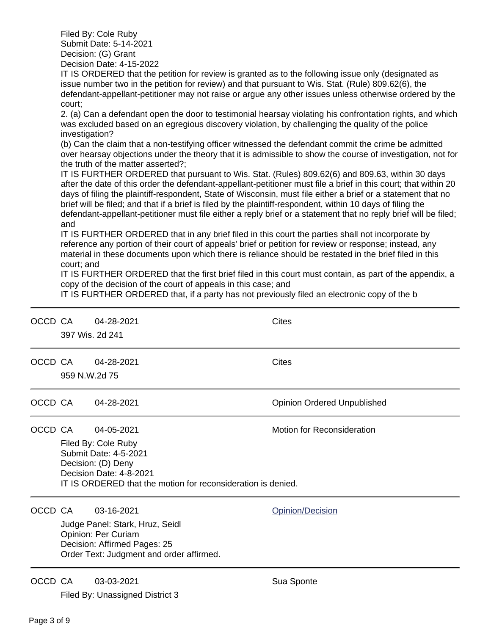Filed By: Cole Ruby Submit Date: 5-14-2021 Decision: (G) Grant Decision Date: 4-15-2022

IT IS ORDERED that the petition for review is granted as to the following issue only (designated as issue number two in the petition for review) and that pursuant to Wis. Stat. (Rule) 809.62(6), the defendant-appellant-petitioner may not raise or argue any other issues unless otherwise ordered by the court;

2. (a) Can a defendant open the door to testimonial hearsay violating his confrontation rights, and which was excluded based on an egregious discovery violation, by challenging the quality of the police investigation?

(b) Can the claim that a non-testifying officer witnessed the defendant commit the crime be admitted over hearsay objections under the theory that it is admissible to show the course of investigation, not for the truth of the matter asserted?;

IT IS FURTHER ORDERED that pursuant to Wis. Stat. (Rules) 809.62(6) and 809.63, within 30 days after the date of this order the defendant-appellant-petitioner must file a brief in this court; that within 20 days of filing the plaintiff-respondent, State of Wisconsin, must file either a brief or a statement that no brief will be filed; and that if a brief is filed by the plaintiff-respondent, within 10 days of filing the defendant-appellant-petitioner must file either a reply brief or a statement that no reply brief will be filed; and

IT IS FURTHER ORDERED that in any brief filed in this court the parties shall not incorporate by reference any portion of their court of appeals' brief or petition for review or response; instead, any material in these documents upon which there is reliance should be restated in the brief filed in this court; and

IT IS FURTHER ORDERED that the first brief filed in this court must contain, as part of the appendix, a copy of the decision of the court of appeals in this case; and

IT IS FURTHER ORDERED that, if a party has not previously filed an electronic copy of the b

| OCCD CA | 397 Wis. 2d 241                                                                                                                                                                                           | 04-28-2021                                                                                                                                       | Cites                              |
|---------|-----------------------------------------------------------------------------------------------------------------------------------------------------------------------------------------------------------|--------------------------------------------------------------------------------------------------------------------------------------------------|------------------------------------|
| OCCD CA | 959 N.W.2d 75                                                                                                                                                                                             | 04-28-2021                                                                                                                                       | <b>Cites</b>                       |
| OCCD CA |                                                                                                                                                                                                           | 04-28-2021                                                                                                                                       | <b>Opinion Ordered Unpublished</b> |
| OCCD CA | Motion for Reconsideration<br>04-05-2021<br>Filed By: Cole Ruby<br>Submit Date: 4-5-2021<br>Decision: (D) Deny<br>Decision Date: 4-8-2021<br>IT IS ORDERED that the motion for reconsideration is denied. |                                                                                                                                                  |                                    |
| OCCD CA |                                                                                                                                                                                                           | 03-16-2021<br>Judge Panel: Stark, Hruz, Seidl<br>Opinion: Per Curiam<br>Decision: Affirmed Pages: 25<br>Order Text: Judgment and order affirmed. | Opinion/Decision                   |
| OCCD CA |                                                                                                                                                                                                           | 03-03-2021<br>Filed By: Unassigned District 3                                                                                                    | Sua Sponte                         |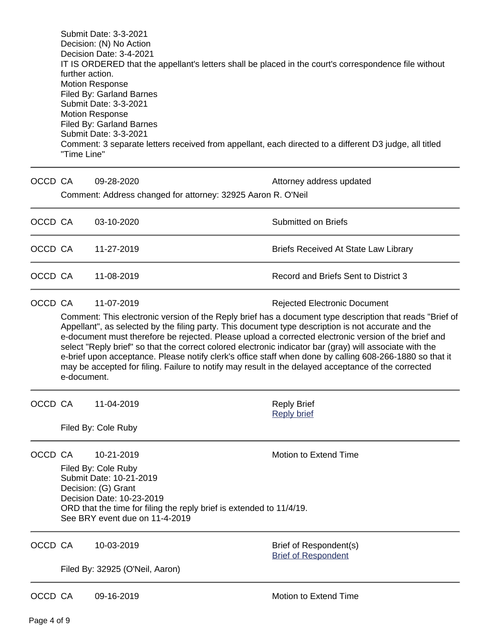Submit Date: 3-3-2021 Decision: (N) No Action Decision Date: 3-4-2021 IT IS ORDERED that the appellant's letters shall be placed in the court's correspondence file without further action. Motion Response Filed By: Garland Barnes Submit Date: 3-3-2021 Motion Response Filed By: Garland Barnes Submit Date: 3-3-2021 Comment: 3 separate letters received from appellant, each directed to a different D3 judge, all titled "Time Line"

| OCCD CA |             | 09-28-2020<br>Comment: Address changed for attorney: 32925 Aaron R. O'Neil                                                                                                                                                                                                                                                                                                                                                                                                                                                                                                                                                                                                                                  | Attorney address updated                             |  |
|---------|-------------|-------------------------------------------------------------------------------------------------------------------------------------------------------------------------------------------------------------------------------------------------------------------------------------------------------------------------------------------------------------------------------------------------------------------------------------------------------------------------------------------------------------------------------------------------------------------------------------------------------------------------------------------------------------------------------------------------------------|------------------------------------------------------|--|
| OCCD CA |             | 03-10-2020                                                                                                                                                                                                                                                                                                                                                                                                                                                                                                                                                                                                                                                                                                  | <b>Submitted on Briefs</b>                           |  |
| OCCD CA |             | 11-27-2019                                                                                                                                                                                                                                                                                                                                                                                                                                                                                                                                                                                                                                                                                                  | <b>Briefs Received At State Law Library</b>          |  |
| OCCD CA |             | 11-08-2019                                                                                                                                                                                                                                                                                                                                                                                                                                                                                                                                                                                                                                                                                                  | Record and Briefs Sent to District 3                 |  |
| OCCD CA | e-document. | 11-07-2019<br><b>Rejected Electronic Document</b><br>Comment: This electronic version of the Reply brief has a document type description that reads "Brief of<br>Appellant", as selected by the filing party. This document type description is not accurate and the<br>e-document must therefore be rejected. Please upload a corrected electronic version of the brief and<br>select "Reply brief" so that the correct colored electronic indicator bar (gray) will associate with the<br>e-brief upon acceptance. Please notify clerk's office staff when done by calling 608-266-1880 so that it<br>may be accepted for filing. Failure to notify may result in the delayed acceptance of the corrected |                                                      |  |
| OCCD CA |             | 11-04-2019<br>Filed By: Cole Ruby                                                                                                                                                                                                                                                                                                                                                                                                                                                                                                                                                                                                                                                                           | <b>Reply Brief</b><br><b>Reply brief</b>             |  |
| OCCD CA |             | 10-21-2019<br>Filed By: Cole Ruby<br>Submit Date: 10-21-2019<br>Decision: (G) Grant<br>Decision Date: 10-23-2019<br>ORD that the time for filing the reply brief is extended to 11/4/19.<br>See BRY event due on 11-4-2019                                                                                                                                                                                                                                                                                                                                                                                                                                                                                  | <b>Motion to Extend Time</b>                         |  |
| OCCD CA |             | 10-03-2019<br>Filed By: 32925 (O'Neil, Aaron)                                                                                                                                                                                                                                                                                                                                                                                                                                                                                                                                                                                                                                                               | Brief of Respondent(s)<br><b>Brief of Respondent</b> |  |
| OCCD CA |             | 09-16-2019                                                                                                                                                                                                                                                                                                                                                                                                                                                                                                                                                                                                                                                                                                  | Motion to Extend Time                                |  |

Page 4 of 9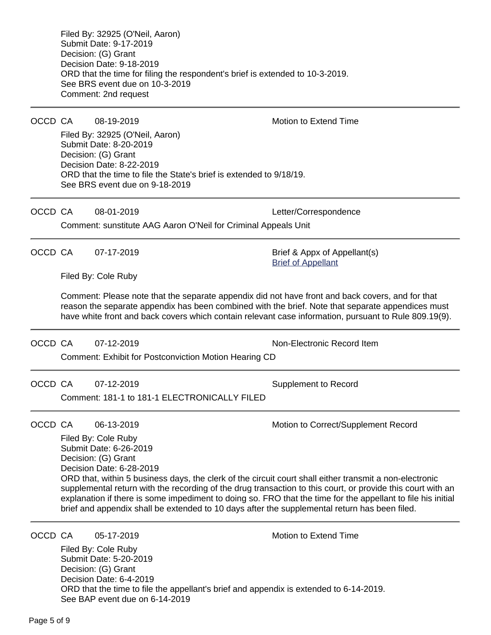Page 5 of 9 OCCD CA 07-12-2019 Non-Electronic Record Item Comment: Exhibit for Postconviction Motion Hearing CD OCCD CA 07-12-2019 Supplement to Record Comment: 181-1 to 181-1 ELECTRONICALLY FILED OCCD CA 06-13-2019 Motion to Correct/Supplement Record Filed By: Cole Ruby Submit Date: 6-26-2019 Decision: (G) Grant Decision Date: 6-28-2019 ORD that, within 5 business days, the clerk of the circuit court shall either transmit a non-electronic supplemental return with the recording of the drug transaction to this court, or provide this court with an explanation if there is some impediment to doing so. FRO that the time for the appellant to file his initial brief and appendix shall be extended to 10 days after the supplemental return has been filed. OCCD CA  $=$  05-17-2019 Motion to Extend Time Filed By: Cole Ruby Submit Date: 5-20-2019 Decision: (G) Grant Decision Date: 6-4-2019 ORD that the time to file the appellant's brief and appendix is extended to 6-14-2019. See BAP event due on 6-14-2019

Filed By: 32925 (O'Neil, Aaron) Submit Date: 9-17-2019 Decision: (G) Grant Decision Date: 9-18-2019 ORD that the time for filing the respondent's brief is extended to 10-3-2019. See BRS event due on 10-3-2019 Comment: 2nd request

OCCD CA 08-19-2019 Motion to Extend Time

Filed By: 32925 (O'Neil, Aaron) Submit Date: 8-20-2019 Decision: (G) Grant Decision Date: 8-22-2019 ORD that the time to file the State's brief is extended to 9/18/19. See BRS event due on 9-18-2019

OCCD CA 08-01-2019 Letter/Correspondence

[Brief of Appellant](https://acefiling.wicourts.gov/document/eFiled/2018AP002005/244392)

Comment: sunstitute AAG Aaron O'Neil for Criminal Appeals Unit

OCCD CA 07-17-2019 Brief & Appx of Appellant(s)

Filed By: Cole Ruby

Comment: Please note that the separate appendix did not have front and back covers, and for that reason the separate appendix has been combined with the brief. Note that separate appendices must have white front and back covers which contain relevant case information, pursuant to Rule 809.19(9).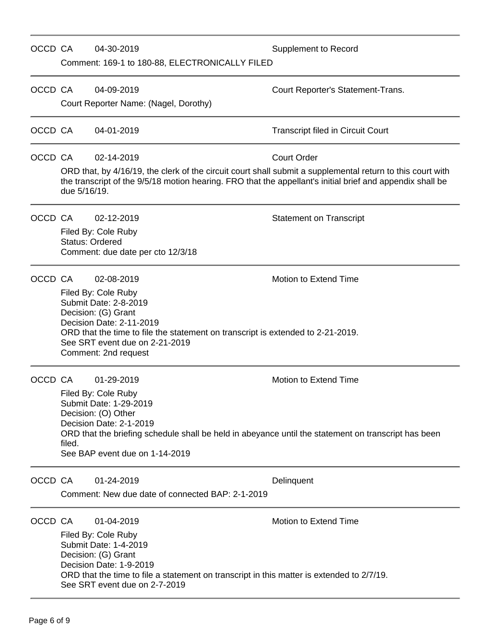| OCCD CA |                        | 04-30-2019<br>Comment: 169-1 to 180-88, ELECTRONICALLY FILED                                                                                                                                                                                               | <b>Supplement to Record</b>                                                                                                                                                                                                                   |
|---------|------------------------|------------------------------------------------------------------------------------------------------------------------------------------------------------------------------------------------------------------------------------------------------------|-----------------------------------------------------------------------------------------------------------------------------------------------------------------------------------------------------------------------------------------------|
| OCCD CA |                        | 04-09-2019<br>Court Reporter Name: (Nagel, Dorothy)                                                                                                                                                                                                        | Court Reporter's Statement-Trans.                                                                                                                                                                                                             |
| OCCD CA |                        | 04-01-2019                                                                                                                                                                                                                                                 | <b>Transcript filed in Circuit Court</b>                                                                                                                                                                                                      |
| OCCD CA | due 5/16/19.           | 02-14-2019                                                                                                                                                                                                                                                 | <b>Court Order</b><br>ORD that, by 4/16/19, the clerk of the circuit court shall submit a supplemental return to this court with<br>the transcript of the 9/5/18 motion hearing. FRO that the appellant's initial brief and appendix shall be |
| OCCD CA | <b>Status: Ordered</b> | 02-12-2019<br>Filed By: Cole Ruby<br>Comment: due date per cto 12/3/18                                                                                                                                                                                     | <b>Statement on Transcript</b>                                                                                                                                                                                                                |
| OCCD CA |                        | 02-08-2019<br>Filed By: Cole Ruby<br>Submit Date: 2-8-2019<br>Decision: (G) Grant<br>Decision Date: 2-11-2019<br>ORD that the time to file the statement on transcript is extended to 2-21-2019.<br>See SRT event due on 2-21-2019<br>Comment: 2nd request | Motion to Extend Time                                                                                                                                                                                                                         |
| OCCD CA | filed.                 | 01-29-2019<br>Filed By: Cole Ruby<br>Submit Date: 1-29-2019<br>Decision: (O) Other<br>Decision Date: 2-1-2019<br>ORD that the briefing schedule shall be held in abeyance until the statement on transcript has been<br>See BAP event due on 1-14-2019     | Motion to Extend Time                                                                                                                                                                                                                         |
| OCCD CA |                        | 01-24-2019<br>Comment: New due date of connected BAP: 2-1-2019                                                                                                                                                                                             | Delinquent                                                                                                                                                                                                                                    |
| OCCD CA |                        | 01-04-2019<br>Filed By: Cole Ruby<br>Submit Date: 1-4-2019<br>Decision: (G) Grant<br>Decision Date: 1-9-2019<br>ORD that the time to file a statement on transcript in this matter is extended to 2/7/19.<br>See SRT event due on 2-7-2019                 | Motion to Extend Time                                                                                                                                                                                                                         |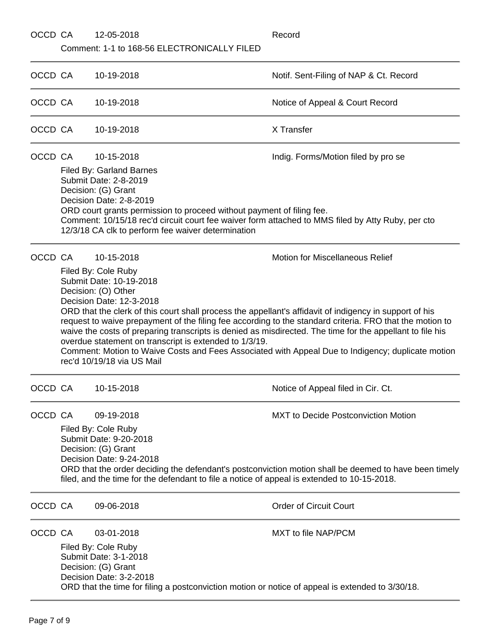| OCCD CA |                                                                                                                                                                                                                                                                                                                                                               | 12-05-2018                                                                                                                                                                                                                                                                                                         | Record                                                                                                                                                                                                                                                                                                                                                               |
|---------|---------------------------------------------------------------------------------------------------------------------------------------------------------------------------------------------------------------------------------------------------------------------------------------------------------------------------------------------------------------|--------------------------------------------------------------------------------------------------------------------------------------------------------------------------------------------------------------------------------------------------------------------------------------------------------------------|----------------------------------------------------------------------------------------------------------------------------------------------------------------------------------------------------------------------------------------------------------------------------------------------------------------------------------------------------------------------|
|         |                                                                                                                                                                                                                                                                                                                                                               | Comment: 1-1 to 168-56 ELECTRONICALLY FILED                                                                                                                                                                                                                                                                        |                                                                                                                                                                                                                                                                                                                                                                      |
| OCCD CA |                                                                                                                                                                                                                                                                                                                                                               | 10-19-2018                                                                                                                                                                                                                                                                                                         | Notif. Sent-Filing of NAP & Ct. Record                                                                                                                                                                                                                                                                                                                               |
| OCCD CA |                                                                                                                                                                                                                                                                                                                                                               | 10-19-2018                                                                                                                                                                                                                                                                                                         | Notice of Appeal & Court Record                                                                                                                                                                                                                                                                                                                                      |
| OCCD CA |                                                                                                                                                                                                                                                                                                                                                               | 10-19-2018                                                                                                                                                                                                                                                                                                         | X Transfer                                                                                                                                                                                                                                                                                                                                                           |
|         | OCCD CA                                                                                                                                                                                                                                                                                                                                                       | 10-15-2018                                                                                                                                                                                                                                                                                                         | Indig. Forms/Motion filed by pro se                                                                                                                                                                                                                                                                                                                                  |
|         | Filed By: Garland Barnes<br>Submit Date: 2-8-2019<br>Decision: (G) Grant<br>Decision Date: 2-8-2019<br>ORD court grants permission to proceed without payment of filing fee.<br>Comment: 10/15/18 rec'd circuit court fee waiver form attached to MMS filed by Atty Ruby, per cto<br>12/3/18 CA clk to perform fee waiver determination                       |                                                                                                                                                                                                                                                                                                                    |                                                                                                                                                                                                                                                                                                                                                                      |
| OCCD CA |                                                                                                                                                                                                                                                                                                                                                               | 10-15-2018<br>Filed By: Cole Ruby<br>Submit Date: 10-19-2018<br>Decision: (O) Other<br>Decision Date: 12-3-2018<br>ORD that the clerk of this court shall process the appellant's affidavit of indigency in support of his<br>overdue statement on transcript is extended to 1/3/19.<br>rec'd 10/19/18 via US Mail | <b>Motion for Miscellaneous Relief</b><br>request to waive prepayment of the filing fee according to the standard criteria. FRO that the motion to<br>waive the costs of preparing transcripts is denied as misdirected. The time for the appellant to file his<br>Comment: Motion to Waive Costs and Fees Associated with Appeal Due to Indigency; duplicate motion |
| OCCD CA |                                                                                                                                                                                                                                                                                                                                                               | 10-15-2018                                                                                                                                                                                                                                                                                                         | Notice of Appeal filed in Cir. Ct.                                                                                                                                                                                                                                                                                                                                   |
| OCCD CA | MXT to Decide Postconviction Motion<br>09-19-2018<br>Filed By: Cole Ruby<br>Submit Date: 9-20-2018<br>Decision: (G) Grant<br>Decision Date: 9-24-2018<br>ORD that the order deciding the defendant's postconviction motion shall be deemed to have been timely<br>filed, and the time for the defendant to file a notice of appeal is extended to 10-15-2018. |                                                                                                                                                                                                                                                                                                                    |                                                                                                                                                                                                                                                                                                                                                                      |
| OCCD CA |                                                                                                                                                                                                                                                                                                                                                               | 09-06-2018                                                                                                                                                                                                                                                                                                         | <b>Order of Circuit Court</b>                                                                                                                                                                                                                                                                                                                                        |
| OCCD CA |                                                                                                                                                                                                                                                                                                                                                               | 03-01-2018<br>Filed By: Cole Ruby<br>Submit Date: 3-1-2018<br>Decision: (G) Grant<br>Decision Date: 3-2-2018<br>ORD that the time for filing a postconviction motion or notice of appeal is extended to 3/30/18.                                                                                                   | <b>MXT to file NAP/PCM</b>                                                                                                                                                                                                                                                                                                                                           |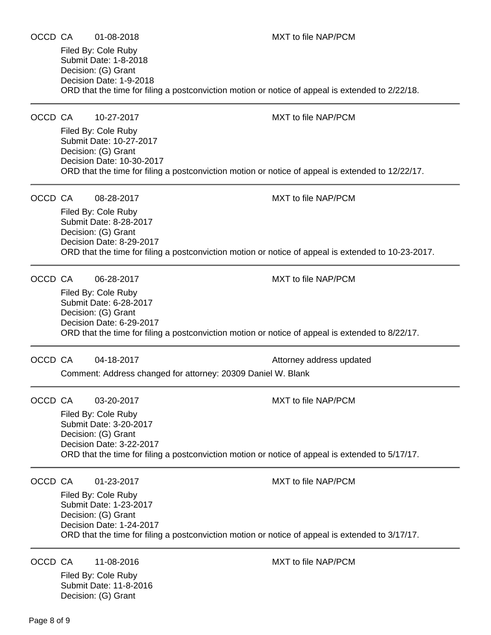ORD that the time for filing a postconviction motion or notice of appeal is extended to 2/22/18. OCCD CA 10-27-2017 MXT to file NAP/PCM Filed By: Cole Ruby Submit Date: 10-27-2017 Decision: (G) Grant Decision Date: 10-30-2017 ORD that the time for filing a postconviction motion or notice of appeal is extended to 12/22/17. OCCD CA 08-28-2017 MXT to file NAP/PCM Filed By: Cole Ruby Submit Date: 8-28-2017 Decision: (G) Grant Decision Date: 8-29-2017 ORD that the time for filing a postconviction motion or notice of appeal is extended to 10-23-2017. OCCD CA 06-28-2017 MXT to file NAP/PCM Filed By: Cole Ruby Submit Date: 6-28-2017 Decision: (G) Grant Decision Date: 6-29-2017 ORD that the time for filing a postconviction motion or notice of appeal is extended to 8/22/17. OCCD CA 04-18-2017 **COLLET 19-18-2017** Attorney address updated

Comment: Address changed for attorney: 20309 Daniel W. Blank

OCCD CA 03-20-2017 MXT to file NAP/PCM

Filed By: Cole Ruby Submit Date: 3-20-2017 Decision: (G) Grant Decision Date: 3-22-2017 ORD that the time for filing a postconviction motion or notice of appeal is extended to 5/17/17.

OCCD CA 01-23-2017 MXT to file NAP/PCM

Filed By: Cole Ruby Submit Date: 1-23-2017 Decision: (G) Grant Decision Date: 1-24-2017 ORD that the time for filing a postconviction motion or notice of appeal is extended to 3/17/17.

OCCD CA 11-08-2016 MXT to file NAP/PCM

Filed By: Cole Ruby Submit Date: 11-8-2016 Decision: (G) Grant

OCCD CA 01-08-2018 MXT to file NAP/PCM

Filed By: Cole Ruby Submit Date: 1-8-2018 Decision: (G) Grant Decision Date: 1-9-2018